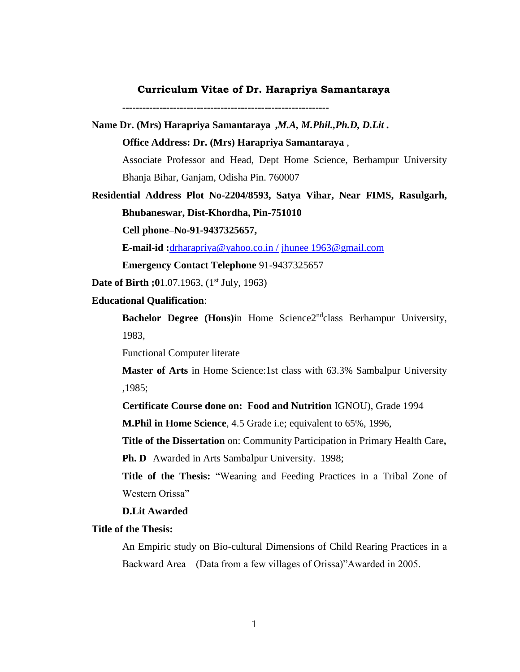### **Curriculum Vitae of Dr. Harapriya Samantaraya**

**-------------------------------------------------------------**

**Name Dr. (Mrs) Harapriya Samantaraya ,***M.A, M.Phil.,Ph.D, D.Lit .* **Office Address: Dr. (Mrs) Harapriya Samantaraya** ,

Associate Professor and Head, Dept Home Science, Berhampur University Bhanja Bihar, Ganjam, Odisha Pin. 760007

**Residential Address Plot No-2204/8593, Satya Vihar, Near FIMS, Rasulgarh, Bhubaneswar, Dist-Khordha, Pin-751010**

**Cell phone–No-91-9437325657,**

**E-mail-id :**[drharapriya@yahoo.co.in /](mailto:drharapriya@yahoo.co.in%20/) [jhunee 1963@gmail.com](mailto:jhunee%201963@gmail.com)

**Emergency Contact Telephone** 91-9437325657

**Date of Birth ;0**1.07.1963, (1<sup>st</sup> July, 1963)

## **Educational Qualification**:

**Bachelor Degree (Hons)in Home Science2<sup>nd</sup>class Berhampur University,** 1983,

Functional Computer literate

**Master of Arts** in Home Science:1st class with 63.3% Sambalpur University ,1985;

**Certificate Course done on: Food and Nutrition** IGNOU), Grade 1994

**M.Phil in Home Science**, 4.5 Grade i.e; equivalent to 65%, 1996,

**Title of the Dissertation** on: Community Participation in Primary Health Care**,**

**Ph. D** Awarded in Arts Sambalpur University. 1998;

**Title of the Thesis:** "Weaning and Feeding Practices in a Tribal Zone of Western Orissa"

**D.Lit Awarded** 

## **Title of the Thesis:**

An Empiric study on Bio-cultural Dimensions of Child Rearing Practices in a Backward Area (Data from a few villages of Orissa)"Awarded in 2005.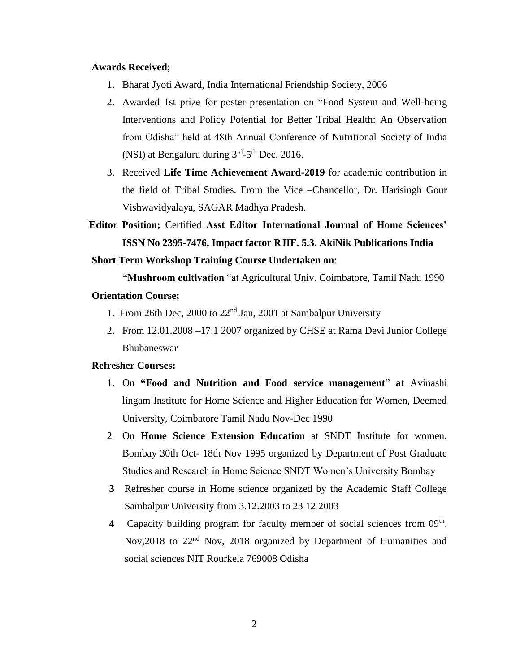## **Awards Received**;

- 1. Bharat Jyoti Award, India International Friendship Society, 2006
- 2. Awarded 1st prize for poster presentation on "Food System and Well-being Interventions and Policy Potential for Better Tribal Health: An Observation from Odisha" held at 48th Annual Conference of Nutritional Society of India (NSI) at Bengaluru during  $3<sup>rd</sup> - 5<sup>th</sup>$  Dec, 2016.
- 3. Received **Life Time Achievement Award-2019** for academic contribution in the field of Tribal Studies. From the Vice –Chancellor, Dr. Harisingh Gour Vishwavidyalaya, SAGAR Madhya Pradesh.
- **Editor Position;** Certified **Asst Editor International Journal of Home Sciences' ISSN No 2395-7476, Impact factor RJIF. 5.3. AkiNik Publications India**

#### **Short Term Workshop Training Course Undertaken on**:

**"Mushroom cultivation** "at Agricultural Univ. Coimbatore, Tamil Nadu 1990

# **Orientation Course;**

- 1. From 26th Dec, 2000 to  $22<sup>nd</sup>$  Jan, 2001 at Sambalpur University
- 2. From 12.01.2008 –17.1 2007 organized by CHSE at Rama Devi Junior College Bhubaneswar

# **Refresher Courses:**

- 1. On **"Food and Nutrition and Food service management**" **at** Avinashi lingam Institute for Home Science and Higher Education for Women, Deemed University, Coimbatore Tamil Nadu Nov-Dec 1990
- 2 On **Home Science Extension Education** at SNDT Institute for women, Bombay 30th Oct- 18th Nov 1995 organized by Department of Post Graduate Studies and Research in Home Science SNDT Women's University Bombay
- **3** Refresher course in Home science organized by the Academic Staff College Sambalpur University from 3.12.2003 to 23 12 2003
- 4 Capacity building program for faculty member of social sciences from 09<sup>th</sup>. Nov, 2018 to 22<sup>nd</sup> Nov, 2018 organized by Department of Humanities and social sciences NIT Rourkela 769008 Odisha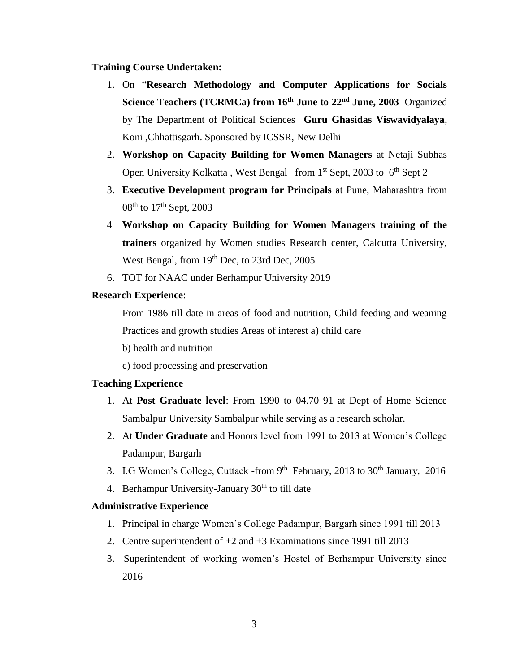# **Training Course Undertaken:**

- 1. On "**Research Methodology and Computer Applications for Socials Science Teachers (TCRMCa) from 16th June to 22nd June, 2003** Organized by The Department of Political Sciences **Guru Ghasidas Viswavidyalaya**, Koni ,Chhattisgarh. Sponsored by ICSSR, New Delhi
- 2. **Workshop on Capacity Building for Women Managers** at Netaji Subhas Open University Kolkatta, West Bengal from  $1<sup>st</sup>$  Sept, 2003 to  $6<sup>th</sup>$  Sept 2
- 3. **Executive Development program for Principals** at Pune, Maharashtra from  $08<sup>th</sup>$  to  $17<sup>th</sup>$  Sept, 2003
- 4 **Workshop on Capacity Building for Women Managers training of the trainers** organized by Women studies Research center, Calcutta University, West Bengal, from 19<sup>th</sup> Dec, to 23rd Dec, 2005
- 6. TOT for NAAC under Berhampur University 2019

# **Research Experience**:

From 1986 till date in areas of food and nutrition, Child feeding and weaning Practices and growth studies Areas of interest a) child care

b) health and nutrition

c) food processing and preservation

# **Teaching Experience**

- 1. At **Post Graduate level**: From 1990 to 04.70 91 at Dept of Home Science Sambalpur University Sambalpur while serving as a research scholar.
- 2. At **Under Graduate** and Honors level from 1991 to 2013 at Women's College Padampur, Bargarh
- 3. I.G Women's College, Cuttack -from  $9<sup>th</sup>$  February, 2013 to 30<sup>th</sup> January, 2016
- 4. Berhampur University-January  $30<sup>th</sup>$  to till date

# **Administrative Experience**

- 1. Principal in charge Women's College Padampur, Bargarh since 1991 till 2013
- 2. Centre superintendent of +2 and +3 Examinations since 1991 till 2013
- 3. Superintendent of working women's Hostel of Berhampur University since 2016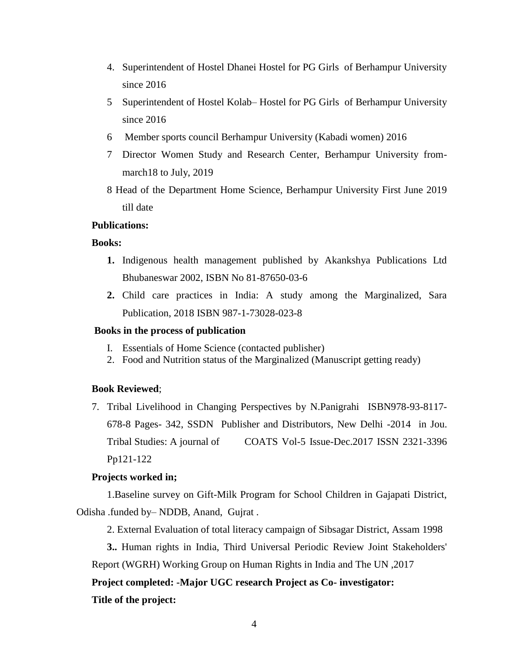- 4. Superintendent of Hostel Dhanei Hostel for PG Girls of Berhampur University since 2016
- 5 Superintendent of Hostel Kolab– Hostel for PG Girls of Berhampur University since 2016
- 6 Member sports council Berhampur University (Kabadi women) 2016
- 7 Director Women Study and Research Center, Berhampur University frommarch18 to July, 2019
- 8 Head of the Department Home Science, Berhampur University First June 2019 till date

# **Publications:**

# **Books:**

- **1.** Indigenous health management published by Akankshya Publications Ltd Bhubaneswar 2002, ISBN No 81-87650-03-6
- **2.** Child care practices in India: A study among the Marginalized, Sara Publication, 2018 ISBN 987-1-73028-023-8

#### **Books in the process of publication**

- I. Essentials of Home Science (contacted publisher)
- 2. Food and Nutrition status of the Marginalized (Manuscript getting ready)

# **Book Reviewed**;

7. Tribal Livelihood in Changing Perspectives by N.Panigrahi ISBN978-93-8117- 678-8 Pages- 342, SSDN Publisher and Distributors, New Delhi -2014 in Jou. Tribal Studies: A journal of COATS Vol-5 Issue-Dec.2017 ISSN 2321-3396 Pp121-122

## **Projects worked in;**

1.Baseline survey on Gift-Milk Program for School Children in Gajapati District, Odisha .funded by– NDDB, Anand, Gujrat .

2. External Evaluation of total literacy campaign of Sibsagar District, Assam 1998

**3..** Human rights in India, Third Universal Periodic Review Joint Stakeholders' Report (WGRH) Working Group on Human Rights in India and The UN ,2017

**Project completed: -Major UGC research Project as Co- investigator:**

#### **Title of the project:**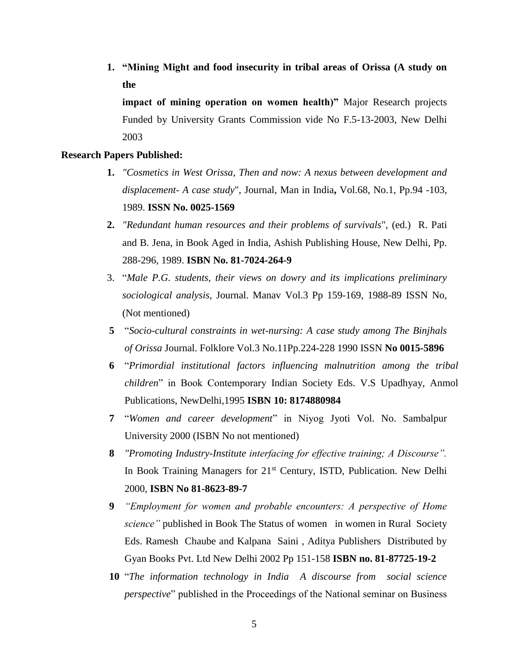**1. "Mining Might and food insecurity in tribal areas of Orissa (A study on the** 

**impact of mining operation on women health)"** Major Research projects Funded by University Grants Commission vide No F.5-13-2003, New Delhi 2003

### **Research Papers Published:**

- **1.** *"Cosmetics in West Orissa, Then and now: A nexus between development and displacement- A case study*", Journal, Man in India**,** Vol.68, No.1, Pp.94 -103, 1989. **ISSN No. 0025-1569**
- **2.** *"Redundant human resources and their problems of survivals*", (ed.) R. Pati and B. Jena, in Book Aged in India, Ashish Publishing House, New Delhi, Pp. 288-296, 1989. **ISBN No. 81-7024-264-9**
- 3. "*Male P.G. students, their views on dowry and its implications preliminary sociological analysis*, Journal. Manav Vol.3 Pp 159-169, 1988-89 ISSN No, (Not mentioned)
- **5** "*Socio-cultural constraints in wet-nursing: A case study among The Binjhals of Orissa* Journal. Folklore Vol.3 No.11Pp.224-228 1990 ISSN **No 0015-5896**
- **6** "*Primordial institutional factors influencing malnutrition among the tribal children*" in Book Contemporary Indian Society Eds. V.S Upadhyay, Anmol Publications, NewDelhi,1995 **ISBN 10: 8174880984**
- **7** "*Women and career development*" in Niyog Jyoti Vol. No. Sambalpur University 2000 (ISBN No not mentioned)
- **8** *"Promoting Industry-Institute interfacing for effective training; A Discourse".* In Book Training Managers for 21<sup>st</sup> Century, ISTD, Publication. New Delhi 2000, **ISBN No 81-8623-89-7**
- **9** *"Employment for women and probable encounters: A perspective of Home science"* published in Book The Status of women in women in Rural Society Eds. Ramesh Chaube and Kalpana Saini , Aditya Publishers Distributed by Gyan Books Pvt. Ltd New Delhi 2002 Pp 151-158 **ISBN no. 81-87725-19-2**
- **10** "*The information technology in India A discourse from social science perspective*" published in the Proceedings of the National seminar on Business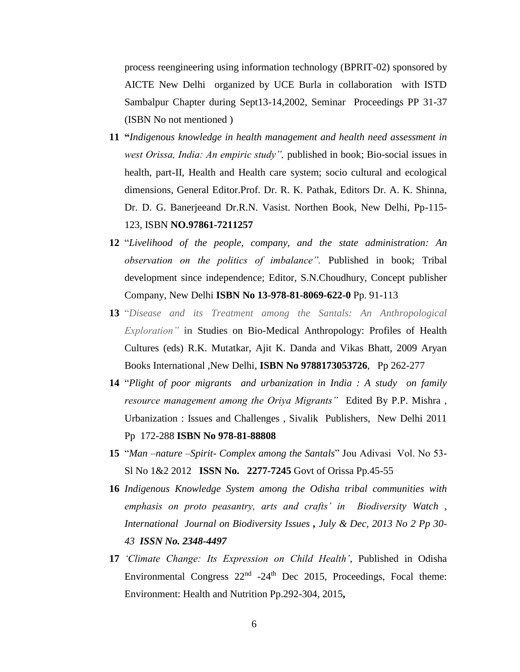process reengineering using information technology (BPRIT-02) sponsored by AICTE New Delhi organized by UCE Burla in collaboration with ISTD Sambalpur Chapter during Sept13-14,2002, Seminar Proceedings PP 31-37 (ISBN No not mentioned )

- **11 "***Indigenous knowledge in health management and health need assessment in west Orissa, India: An empiric study",* published in book; Bio-social issues in health, part-II, Health and Health care system; socio cultural and ecological dimensions, General Editor.Prof. Dr. R. K. Pathak, Editors Dr. A. K. Shinna, Dr. D. G. Banerjeeand Dr.R.N. Vasist. Northen Book, New Delhi, Pp-115- 123, ISBN **NO.97861-7211257**
- **12** "*Livelihood of the people, company, and the state administration: An observation on the politics of imbalance".* Published in book; Tribal development since independence; Editor, S.N.Choudhury, Concept publisher Company, New Delhi **ISBN No 13-978-81-8069-622-0** Pp. 91-113
- **13** "*Disease and its Treatment among the Santals: An Anthropological Exploration"* **in** Studies on Bio-Medical Anthropology: Profiles of Health Cultures (eds) R.K. Mutatkar, Ajit K. Danda and Vikas Bhatt, 2009 Aryan Books International ,New Delhi, **ISBN No 9788173053726**, Pp 262-277
- **14** "*Plight of poor migrants and urbanization in India : A study on family resource management among the Oriya Migrants"* Edited By P.P. Mishra , Urbanization : Issues and Challenges , Sivalik Publishers, New Delhi 2011 Pp 172-288 **ISBN No 978-81-88808**
- **15** "*Man –nature –Spirit- Complex among the Santals*" Jou Adivasi Vol. No 53- Sl No 1&2 2012 **ISSN No. 2277-7245** Govt of Orissa Pp.45-55
- **16** *Indigenous Knowledge System among the Odisha tribal communities with emphasis on proto peasantry, arts and crafts' in Biodiversity Watch , International Journal on Biodiversity Issues , July & Dec, 2013 No 2 Pp 30- 43 ISSN No. 2348-4497*
- **17** *'Climate Change: Its Expression on Child Health'*, Published in Odisha Environmental Congress  $22<sup>nd</sup> -24<sup>th</sup>$  Dec 2015, Proceedings, Focal theme: Environment: Health and Nutrition Pp.292-304, 2015**,**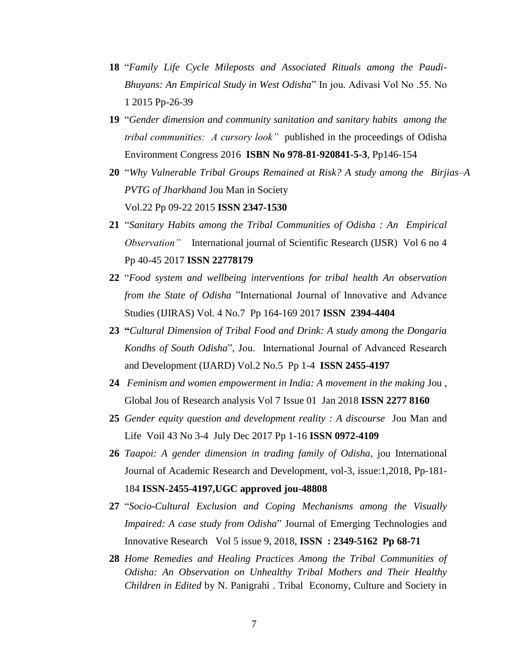- **18** "*Family Life Cycle Mileposts and Associated Rituals among the Paudi-Bhuyans: An Empirical Study in West Odisha*" In jou. Adivasi Vol No .55. No 1 2015 Pp-26-39
- **19** "*Gender dimension and community sanitation and sanitary habits among the tribal communities: A cursory look"* published in the proceedings of Odisha Environment Congress 2016 **ISBN No 978-81-920841-5-3**, Pp146-154
- **20** "*Why Vulnerable Tribal Groups Remained at Risk? A study among the Birjias–A PVTG of Jharkhand* Jou Man in Society Vol.22 Pp 09-22 2015 **ISSN 2347-1530**
- **21** "*Sanitary Habits among the Tribal Communities of Odisha : An Empirical Observation*" International journal of Scientific Research (IJSR) Vol 6 no 4 Pp 40-45 2017 **ISSN 22778179**
- **22** "*Food system and wellbeing interventions for tribal health An observation from the State of Odisha* "International Journal of Innovative and Advance Studies (IJIRAS) Vol. 4 No.7 Pp 164-169 2017 **ISSN 2394-4404**
- **23 "***Cultural Dimension of Tribal Food and Drink: A study among the Dongaria Kondhs of South Odisha*", Jou. International Journal of Advanced Research and Development (IJARD) Vol.2 No.5 Pp 1-4 **ISSN 2455-4197**
- **24** *Feminism and women empowerment in India: A movement in the making* Jou , Global Jou of Research analysis Vol 7 Issue 01 Jan 2018 **ISSN 2277 8160**
- **25** *Gender equity question and development reality : A discourse* Jou Man and Life Voil 43 No 3-4 July Dec 2017 Pp 1-16 **ISSN 0972-4109**
- **26** *Taapoi: A gender dimension in trading family of Odisha*, jou International Journal of Academic Research and Development, vol-3, issue:1,2018, Pp-181- 184 **ISSN-2455-4197,UGC approved jou-48808**
- **27** "*Socio-Cultural Exclusion and Coping Mechanisms among the Visually Impaired: A case study from Odisha*" Journal of Emerging Technologies and Innovative ResearchVol 5 issue 9, 2018, **ISSN : 2349-5162 Pp 68-71**
- **28** *Home Remedies and Healing Practices Among the Tribal Communities of Odisha: An Observation on Unhealthy Tribal Mothers and Their Healthy Children in Edited* by N. Panigrahi . Tribal Economy, Culture and Society in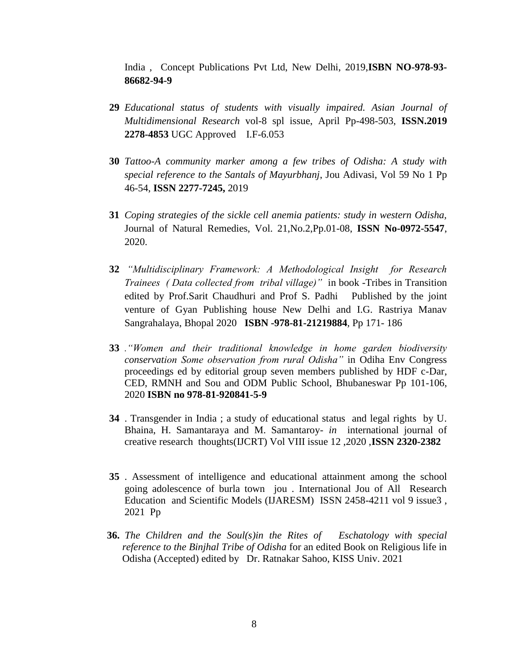India , Concept Publications Pvt Ltd, New Delhi, 2019,**ISBN NO-978-93- 86682-94-9**

- **29** *Educational status of students with visually impaired. Asian Journal of Multidimensional Research* vol-8 spl issue, April Pp-498-503, **ISSN.2019 2278-4853** UGC Approved I.F-6.053
- **30** *Tattoo-A community marker among a few tribes of Odisha: A study with special reference to the Santals of Mayurbhanj*, Jou Adivasi, Vol 59 No 1 Pp 46-54, **ISSN 2277-7245,** 2019
- **31** *Coping strategies of the sickle cell anemia patients: study in western Odisha,* Journal of Natural Remedies, Vol. 21,No.2,Pp.01-08, **ISSN No-0972-5547**, 2020.
- **32** *"Multidisciplinary Framework: A Methodological Insight for Research Trainees ( Data collected from tribal village)"* in book -Tribes in Transition edited by Prof.Sarit Chaudhuri and Prof S. Padhi Published by the joint venture of Gyan Publishing house New Delhi and I.G. Rastriya Manav Sangrahalaya, Bhopal 2020 **ISBN -978-81-21219884**, Pp 171- 186
- **33** *."Women and their traditional knowledge in home garden biodiversity conservation Some observation from rural Odisha"* in Odiha Env Congress proceedings ed by editorial group seven members published by HDF c-Dar, CED, RMNH and Sou and ODM Public School, Bhubaneswar Pp 101-106, 2020 **ISBN no 978-81-920841-5-9**
- **34** . Transgender in India ; a study of educational status and legal rights by U. Bhaina, H. Samantaraya and M. Samantaroy- *in* international journal of creative research thoughts(IJCRT) Vol VIII issue 12 ,2020 ,**ISSN 2320-2382**
- **35** . Assessment of intelligence and educational attainment among the school going adolescence of burla town jou . International Jou of All Research Education and Scientific Models (IJARESM) ISSN 2458-4211 vol 9 issue3 , 2021 Pp
- **36.** *The Children and the Soul(s)in the Rites of Eschatology with special reference to the Binjhal Tribe of Odisha* for an edited Book on Religious life in Odisha (Accepted) edited by Dr. Ratnakar Sahoo, KISS Univ. 2021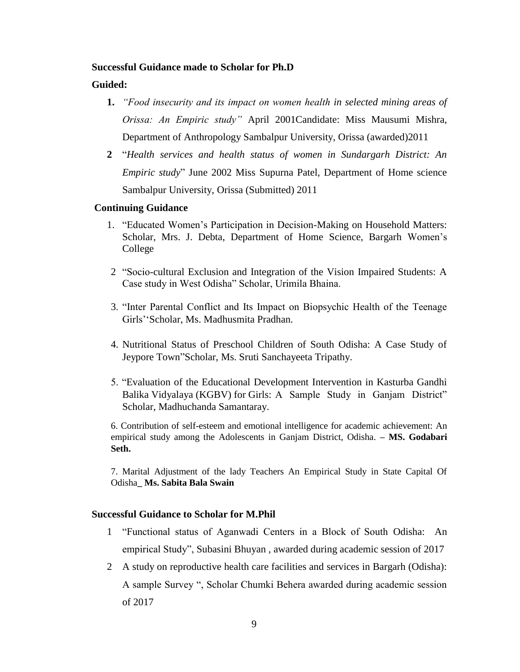# **Successful Guidance made to Scholar for Ph.D**

# **Guided:**

- **1.** *"Food insecurity and its impact on women health in selected mining areas of Orissa: An Empiric study"* April 2001Candidate: Miss Mausumi Mishra, Department of Anthropology Sambalpur University, Orissa (awarded)2011
- **2** "*Health services and health status of women in Sundargarh District: An Empiric study*" June 2002 Miss Supurna Patel, Department of Home science Sambalpur University, Orissa (Submitted) 2011

# **Continuing Guidance**

- 1. "Educated Women's Participation in Decision-Making on Household Matters: Scholar, Mrs. J. Debta, Department of Home Science, Bargarh Women's College
- 2 "Socio-cultural Exclusion and Integration of the Vision Impaired Students: A Case study in West Odisha" Scholar, Urimila Bhaina.
- 3. "Inter Parental Conflict and Its Impact on Biopsychic Health of the Teenage Girls''Scholar, Ms. Madhusmita Pradhan.
- 4. Nutritional Status of Preschool Children of South Odisha: A Case Study of Jeypore Town"Scholar, Ms. Sruti Sanchayeeta Tripathy.
- 5. "Evaluation of the Educational Development Intervention in Kasturba Gandhi Balika Vidyalaya (KGBV) for Girls: A Sample Study in Ganjam District" Scholar, Madhuchanda Samantaray.

6. Contribution of self-esteem and emotional intelligence for academic achievement: An empirical study among the Adolescents in Ganjam District, Odisha. **– MS. Godabari Seth.**

7. Marital Adjustment of the lady Teachers An Empirical Study in State Capital Of Odisha**\_ Ms. Sabita Bala Swain**

## **Successful Guidance to Scholar for M.Phil**

- 1 "Functional status of Aganwadi Centers in a Block of South Odisha: An empirical Study", Subasini Bhuyan , awarded during academic session of 2017
- 2 A study on reproductive health care facilities and services in Bargarh (Odisha): A sample Survey ", Scholar Chumki Behera awarded during academic session of 2017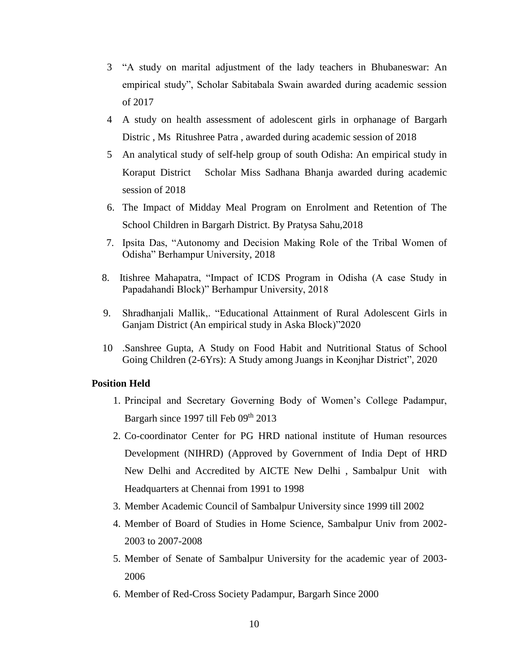- 3 "A study on marital adjustment of the lady teachers in Bhubaneswar: An empirical study", Scholar Sabitabala Swain awarded during academic session of 2017
- 4 A study on health assessment of adolescent girls in orphanage of Bargarh Distric , Ms Ritushree Patra , awarded during academic session of 2018
- 5 An analytical study of self-help group of south Odisha: An empirical study in Koraput District Scholar Miss Sadhana Bhanja awarded during academic session of 2018
- 6. The Impact of Midday Meal Program on Enrolment and Retention of The School Children in Bargarh District. By Pratysa Sahu,2018
- 7. Ipsita Das, "Autonomy and Decision Making Role of the Tribal Women of Odisha" Berhampur University, 2018
- 8. Itishree Mahapatra, "Impact of ICDS Program in Odisha (A case Study in Papadahandi Block)" Berhampur University, 2018
- 9. Shradhanjali Mallik,. "Educational Attainment of Rural Adolescent Girls in Ganjam District (An empirical study in Aska Block)"2020
- 10 .Sanshree Gupta, A Study on Food Habit and Nutritional Status of School Going Children (2-6Yrs): A Study among Juangs in Keonjhar District", 2020

## **Position Held**

- 1. Principal and Secretary Governing Body of Women's College Padampur, Bargarh since 1997 till Feb  $09<sup>th</sup> 2013$
- 2. Co-coordinator Center for PG HRD national institute of Human resources Development (NIHRD) (Approved by Government of India Dept of HRD New Delhi and Accredited by AICTE New Delhi , Sambalpur Unit with Headquarters at Chennai from 1991 to 1998
- 3. Member Academic Council of Sambalpur University since 1999 till 2002
- 4. Member of Board of Studies in Home Science, Sambalpur Univ from 2002- 2003 to 2007-2008
- 5. Member of Senate of Sambalpur University for the academic year of 2003- 2006
- 6. Member of Red-Cross Society Padampur, Bargarh Since 2000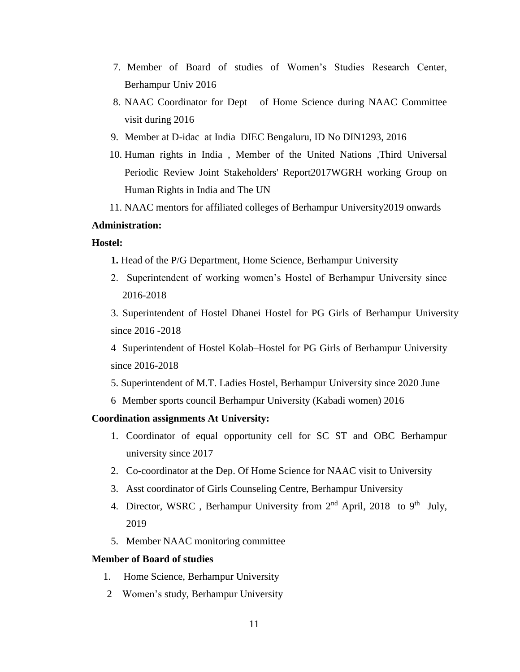- 7. Member of Board of studies of Women's Studies Research Center, Berhampur Univ 2016
- 8. NAAC Coordinator for Dept of Home Science during NAAC Committee visit during 2016
- 9. Member at D-idac at India DIEC Bengaluru, ID No DIN1293, 2016
- 10. Human rights in India , Member of the United Nations ,Third Universal Periodic Review Joint Stakeholders' Report2017WGRH working Group on Human Rights in India and The UN
- 11. NAAC mentors for affiliated colleges of Berhampur University2019 onwards

# **Administration:**

# **Hostel:**

- **1.** Head of the P/G Department, Home Science, Berhampur University
- 2. Superintendent of working women's Hostel of Berhampur University since 2016-2018

3. Superintendent of Hostel Dhanei Hostel for PG Girls of Berhampur University since 2016 -2018

4 Superintendent of Hostel Kolab–Hostel for PG Girls of Berhampur University since 2016-2018

5. Superintendent of M.T. Ladies Hostel, Berhampur University since 2020 June

6 Member sports council Berhampur University (Kabadi women) 2016

# **Coordination assignments At University:**

- 1. Coordinator of equal opportunity cell for SC ST and OBC Berhampur university since 2017
- 2. Co-coordinator at the Dep. Of Home Science for NAAC visit to University
- 3. Asst coordinator of Girls Counseling Centre, Berhampur University
- 4. Director, WSRC, Berhampur University from  $2<sup>nd</sup>$  April, 2018 to 9<sup>th</sup> July, 2019
- 5. Member NAAC monitoring committee

#### **Member of Board of studies**

- 1. Home Science, Berhampur University
- 2 Women's study, Berhampur University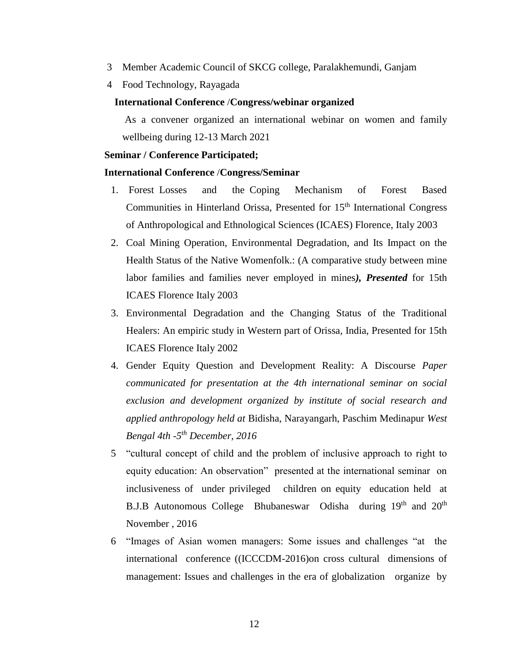- 3 Member Academic Council of SKCG college, Paralakhemundi, Ganjam
- 4 Food Technology, Rayagada

# **International Conference** /**Congress/webinar organized**

As a convener organized an international webinar on women and family wellbeing during 12-13 March 2021

#### **Seminar / Conference Participated;**

## **International Conference** /**Congress/Seminar**

- 1. Forest Losses and the Coping Mechanism of Forest Based Communities in Hinterland Orissa, Presented for 15<sup>th</sup> International Congress of Anthropological and Ethnological Sciences (ICAES) Florence, Italy 2003
- 2. Coal Mining Operation, Environmental Degradation, and Its Impact on the Health Status of the Native Womenfolk.: (A comparative study between mine labor families and families never employed in mines*), Presented* for 15th ICAES Florence Italy 2003
- 3. Environmental Degradation and the Changing Status of the Traditional Healers: An empiric study in Western part of Orissa, India, Presented for 15th ICAES Florence Italy 2002
- 4. Gender Equity Question and Development Reality: A Discourse *Paper communicated for presentation at the 4th international seminar on social exclusion and development organized by institute of social research and applied anthropology held at* Bidisha, Narayangarh, Paschim Medinapur *West Bengal 4th -5 th December, 2016*
- 5 "cultural concept of child and the problem of inclusive approach to right to equity education: An observation" presented at the international seminar on inclusiveness of under privileged children on equity education held at B.J.B Autonomous College Bhubaneswar Odisha during 19<sup>th</sup> and 20<sup>th</sup> November , 2016
- 6 "Images of Asian women managers: Some issues and challenges "at the international conference ((ICCCDM-2016)on cross cultural dimensions of management: Issues and challenges in the era of globalization organize by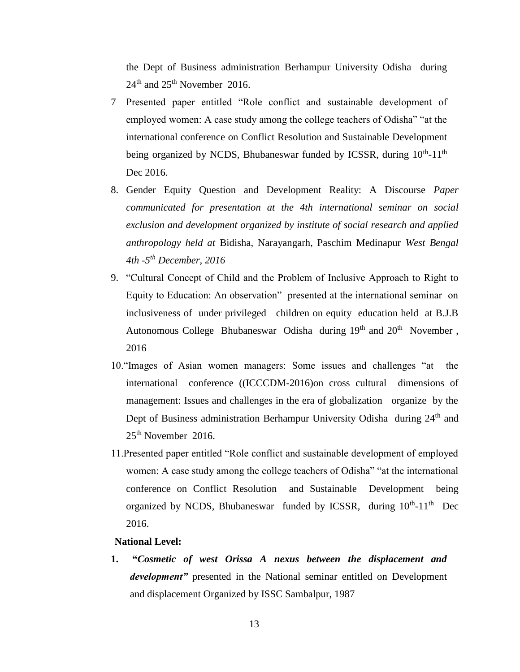the Dept of Business administration Berhampur University Odisha during 24<sup>th</sup> and 25<sup>th</sup> November 2016.

- 7 Presented paper entitled "Role conflict and sustainable development of employed women: A case study among the college teachers of Odisha" "at the international conference on Conflict Resolution and Sustainable Development being organized by NCDS, Bhubaneswar funded by ICSSR, during 10<sup>th</sup>-11<sup>th</sup> Dec 2016.
- 8. Gender Equity Question and Development Reality: A Discourse *Paper communicated for presentation at the 4th international seminar on social exclusion and development organized by institute of social research and applied anthropology held at* Bidisha, Narayangarh, Paschim Medinapur *West Bengal 4th -5 th December, 2016*
- 9. "Cultural Concept of Child and the Problem of Inclusive Approach to Right to Equity to Education: An observation" presented at the international seminar on inclusiveness of under privileged children on equity education held at B.J.B Autonomous College Bhubaneswar Odisha during 19<sup>th</sup> and 20<sup>th</sup> November, 2016
- 10."Images of Asian women managers: Some issues and challenges "at the international conference ((ICCCDM-2016)on cross cultural dimensions of management: Issues and challenges in the era of globalization organize by the Dept of Business administration Berhampur University Odisha during 24<sup>th</sup> and  $25<sup>th</sup>$  November 2016.
- 11.Presented paper entitled "Role conflict and sustainable development of employed women: A case study among the college teachers of Odisha" "at the international conference on Conflict Resolution and Sustainable Development being organized by NCDS, Bhubaneswar funded by ICSSR, during  $10^{th}$ -11<sup>th</sup> Dec 2016.

# **National Level:**

**1. "***Cosmetic of west Orissa A nexus between the displacement and development"* presented in the National seminar entitled on Development and displacement Organized by ISSC Sambalpur, 1987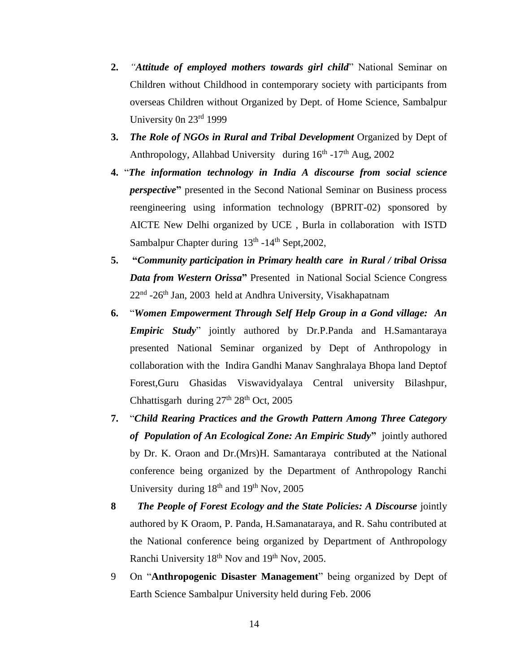- **2.** *"Attitude of employed mothers towards girl child*" National Seminar on Children without Childhood in contemporary society with participants from overseas Children without Organized by Dept. of Home Science, Sambalpur University 0n 23rd 1999
- **3.** *The Role of NGOs in Rural and Tribal Development* Organized by Dept of Anthropology, Allahbad University during  $16<sup>th</sup> - 17<sup>th</sup>$  Aug, 2002
- **4.** "*The information technology in India A discourse from social science perspective***"** presented in the Second National Seminar on Business process reengineering using information technology (BPRIT-02) sponsored by AICTE New Delhi organized by UCE , Burla in collaboration with ISTD Sambalpur Chapter during 13<sup>th</sup> -14<sup>th</sup> Sept, 2002,
- **5. "***Community participation in Primary health care in Rural / tribal Orissa Data from Western Orissa***"** Presented in National Social Science Congress 22<sup>nd</sup> -26<sup>th</sup> Jan, 2003 held at Andhra University, Visakhapatnam
- **6.** "*Women Empowerment Through Self Help Group in a Gond village: An Empiric Study*" jointly authored by Dr.P.Panda and H.Samantaraya presented National Seminar organized by Dept of Anthropology in collaboration with the Indira Gandhi Manav Sanghralaya Bhopa land Deptof Forest,Guru Ghasidas Viswavidyalaya Central university Bilashpur, Chhattisgarh during  $27<sup>th</sup> 28<sup>th</sup>$  Oct, 2005
- **7.** "*Child Rearing Practices and the Growth Pattern Among Three Category of Population of An Ecological Zone: An Empiric Study***"** jointly authored by Dr. K. Oraon and Dr.(Mrs)H. Samantaraya contributed at the National conference being organized by the Department of Anthropology Ranchi University during  $18<sup>th</sup>$  and  $19<sup>th</sup>$  Nov, 2005
- **8** *The People of Forest Ecology and the State Policies: A Discourse* jointly authored by K Oraom, P. Panda, H.Samanataraya, and R. Sahu contributed at the National conference being organized by Department of Anthropology Ranchi University 18<sup>th</sup> Nov and 19<sup>th</sup> Nov, 2005.
- 9 On "**Anthropogenic Disaster Management**" being organized by Dept of Earth Science Sambalpur University held during Feb. 2006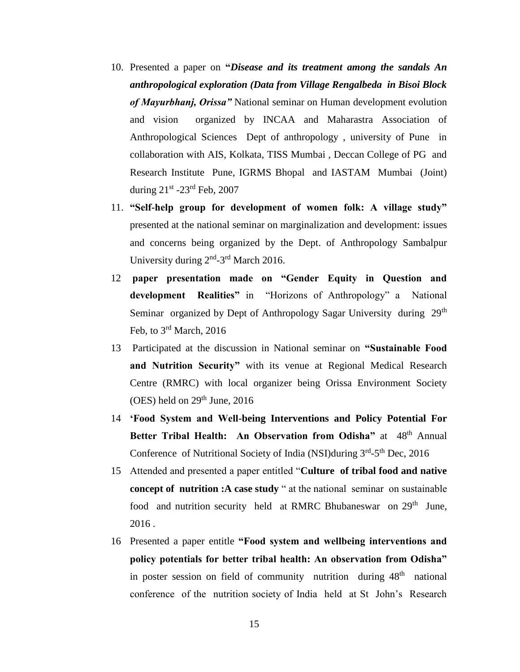- 10. Presented a paper on **"***Disease and its treatment among the sandals An anthropological exploration (Data from Village Rengalbeda in Bisoi Block of Mayurbhanj, Orissa"* National seminar on Human development evolution and vision organized by INCAA and Maharastra Association of Anthropological Sciences Dept of anthropology , university of Pune in collaboration with AIS, Kolkata, TISS Mumbai , Deccan College of PG and Research Institute Pune, IGRMS Bhopal and IASTAM Mumbai (Joint) during 21<sup>st</sup> -23<sup>rd</sup> Feb, 2007
- 11. **"Self-help group for development of women folk: A village study"**  presented at the national seminar on marginalization and development: issues and concerns being organized by the Dept. of Anthropology Sambalpur University during 2<sup>nd</sup>-3<sup>rd</sup> March 2016.
- 12 **paper presentation made on "Gender Equity in Question and development Realities"** in "Horizons of Anthropology" a National Seminar organized by Dept of Anthropology Sagar University during 29<sup>th</sup> Feb, to 3rd March, 2016
- 13 Participated at the discussion in National seminar on **"Sustainable Food and Nutrition Security"** with its venue at Regional Medical Research Centre (RMRC) with local organizer being Orissa Environment Society (OES) held on  $29<sup>th</sup>$  June, 2016
- 14 **'Food System and Well-being Interventions and Policy Potential For Better Tribal Health: An Observation from Odisha"** at 48<sup>th</sup> Annual Conference of Nutritional Society of India (NSI)during 3<sup>rd</sup>-5<sup>th</sup> Dec, 2016
- 15 Attended and presented a paper entitled "**Culture of tribal food and native concept of nutrition :A case study** " at the national seminar on sustainable food and nutrition security held at RMRC Bhubaneswar on 29<sup>th</sup> June, 2016 .
- 16 Presented a paper entitle **"Food system and wellbeing interventions and policy potentials for better tribal health: An observation from Odisha"**  in poster session on field of community nutrition during 48<sup>th</sup> national conference of the nutrition society of India held at St John's Research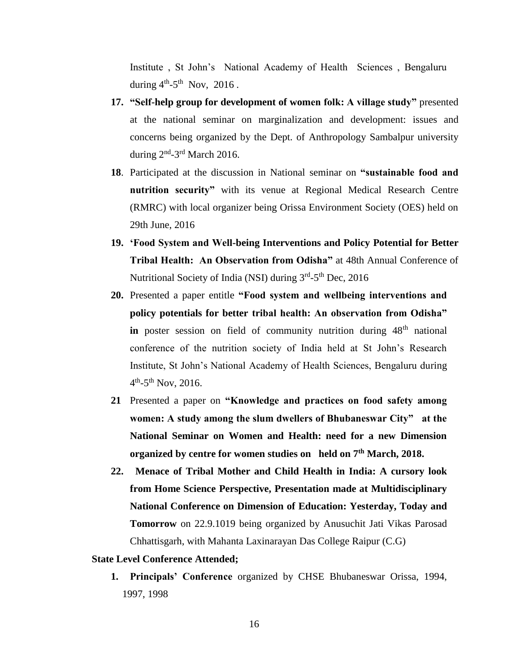Institute , St John's National Academy of Health Sciences , Bengaluru during  $4<sup>th</sup> - 5<sup>th</sup>$  Nov, 2016.

- **17. "Self-help group for development of women folk: A village study"** presented at the national seminar on marginalization and development: issues and concerns being organized by the Dept. of Anthropology Sambalpur university during  $2<sup>nd</sup> - 3<sup>rd</sup>$  March 2016.
- **18**. Participated at the discussion in National seminar on **"sustainable food and nutrition security"** with its venue at Regional Medical Research Centre (RMRC) with local organizer being Orissa Environment Society (OES) held on 29th June, 2016
- **19. 'Food System and Well-being Interventions and Policy Potential for Better Tribal Health: An Observation from Odisha"** at 48th Annual Conference of Nutritional Society of India (NSI) during 3<sup>rd</sup>-5<sup>th</sup> Dec, 2016
- **20.** Presented a paper entitle **"Food system and wellbeing interventions and policy potentials for better tribal health: An observation from Odisha" in** poster session on field of community nutrition during 48<sup>th</sup> national conference of the nutrition society of India held at St John's Research Institute, St John's National Academy of Health Sciences, Bengaluru during  $4^{\text{th}}$ -5<sup>th</sup> Nov, 2016.
- **21** Presented a paper on **"Knowledge and practices on food safety among women: A study among the slum dwellers of Bhubaneswar City" at the National Seminar on Women and Health: need for a new Dimension organized by centre for women studies on held on 7th March, 2018.**
- **22. Menace of Tribal Mother and Child Health in India: A cursory look from Home Science Perspective, Presentation made at Multidisciplinary National Conference on Dimension of Education: Yesterday, Today and Tomorrow** on 22.9.1019 being organized by Anusuchit Jati Vikas Parosad Chhattisgarh, with Mahanta Laxinarayan Das College Raipur (C.G)

### **State Level Conference Attended;**

**1. Principals' Conference** organized by CHSE Bhubaneswar Orissa, 1994, 1997, 1998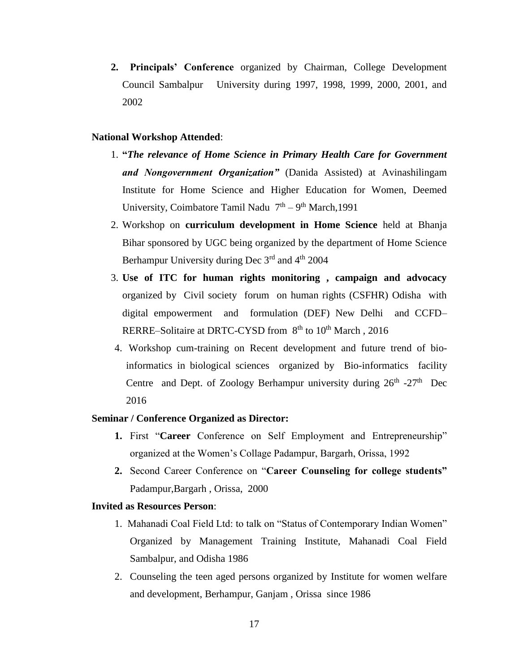**2. Principals' Conference** organized by Chairman, College Development Council Sambalpur University during 1997, 1998, 1999, 2000, 2001, and 2002

### **National Workshop Attended**:

- 1. **"***The relevance of Home Science in Primary Health Care for Government and Nongovernment Organization"* (Danida Assisted) at Avinashilingam Institute for Home Science and Higher Education for Women, Deemed University, Coimbatore Tamil Nadu  $7<sup>th</sup> - 9<sup>th</sup>$  March, 1991
- 2. Workshop on **curriculum development in Home Science** held at Bhanja Bihar sponsored by UGC being organized by the department of Home Science Berhampur University during Dec 3<sup>rd</sup> and 4<sup>th</sup> 2004
- 3. **Use of ITC for human rights monitoring , campaign and advocacy** organized by Civil society forum on human rights (CSFHR) Odisha with digital empowerment and formulation (DEF) New Delhi and CCFD– RERRE–Solitaire at DRTC-CYSD from 8<sup>th</sup> to 10<sup>th</sup> March, 2016
- 4. Workshop cum-training on Recent development and future trend of bioinformatics in biological sciences organized by Bio-informatics facility Centre and Dept. of Zoology Berhampur university during  $26<sup>th</sup> - 27<sup>th</sup>$  Dec 2016

#### **Seminar / Conference Organized as Director:**

- **1.** First "**Career** Conference on Self Employment and Entrepreneurship" organized at the Women's Collage Padampur, Bargarh, Orissa, 1992
- **2.** Second Career Conference on "**Career Counseling for college students"**  Padampur,Bargarh , Orissa, 2000

### **Invited as Resources Person**:

- 1. Mahanadi Coal Field Ltd: to talk on "Status of Contemporary Indian Women" Organized by Management Training Institute, Mahanadi Coal Field Sambalpur, and Odisha 1986
- 2. Counseling the teen aged persons organized by Institute for women welfare and development, Berhampur, Ganjam , Orissa since 1986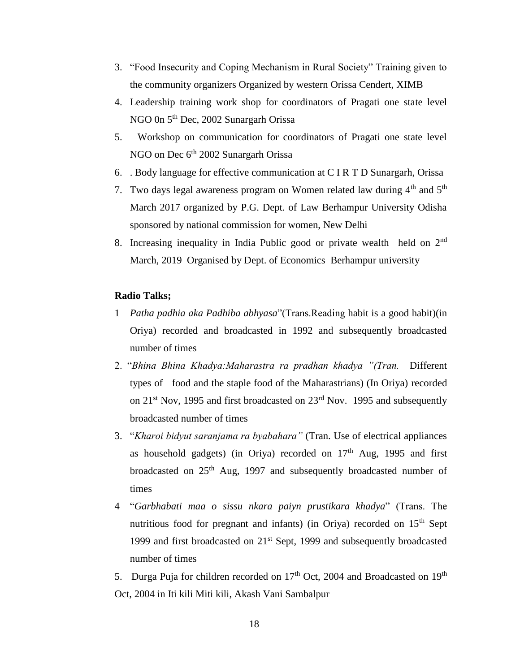- 3. "Food Insecurity and Coping Mechanism in Rural Society" Training given to the community organizers Organized by western Orissa Cendert, XIMB
- 4. Leadership training work shop for coordinators of Pragati one state level NGO 0n 5<sup>th</sup> Dec, 2002 Sunargarh Orissa
- 5. Workshop on communication for coordinators of Pragati one state level NGO on Dec 6<sup>th</sup> 2002 Sunargarh Orissa
- 6. . Body language for effective communication at C I R T D Sunargarh, Orissa
- 7. Two days legal awareness program on Women related law during  $4<sup>th</sup>$  and  $5<sup>th</sup>$ March 2017 organized by P.G. Dept. of Law Berhampur University Odisha sponsored by national commission for women, New Delhi
- 8. Increasing inequality in India Public good or private wealth held on 2<sup>nd</sup> March, 2019 Organised by Dept. of Economics Berhampur university

# **Radio Talks;**

- 1 *Patha padhia aka Padhiba abhyasa*"(Trans.Reading habit is a good habit)(in Oriya) recorded and broadcasted in 1992 and subsequently broadcasted number of times
- 2. "*Bhina Bhina Khadya:Maharastra ra pradhan khadya "(Tran.* Different types of food and the staple food of the Maharastrians) (In Oriya) recorded on 21<sup>st</sup> Nov, 1995 and first broadcasted on 23<sup>rd</sup> Nov. 1995 and subsequently broadcasted number of times
- 3. "*Kharoi bidyut saranjama ra byabahara"* (Tran. Use of electrical appliances as household gadgets) (in Oriya) recorded on  $17<sup>th</sup>$  Aug, 1995 and first broadcasted on 25<sup>th</sup> Aug, 1997 and subsequently broadcasted number of times
- 4 "*Garbhabati maa o sissu nkara paiyn prustikara khadya*" (Trans. The nutritious food for pregnant and infants) (in Oriya) recorded on  $15<sup>th</sup>$  Sept 1999 and first broadcasted on  $21<sup>st</sup>$  Sept, 1999 and subsequently broadcasted number of times

5. Durga Puja for children recorded on  $17<sup>th</sup>$  Oct, 2004 and Broadcasted on  $19<sup>th</sup>$ Oct, 2004 in Iti kili Miti kili, Akash Vani Sambalpur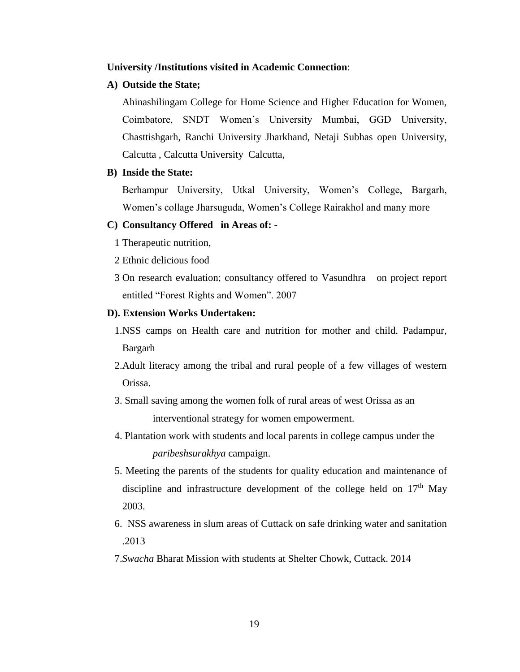# **University /Institutions visited in Academic Connection**:

# **A) Outside the State;**

Ahinashilingam College for Home Science and Higher Education for Women, Coimbatore, SNDT Women's University Mumbai, GGD University, Chasttishgarh, Ranchi University Jharkhand, Netaji Subhas open University, Calcutta , Calcutta University Calcutta,

# **B) Inside the State:**

Berhampur University, Utkal University, Women's College, Bargarh, Women's collage Jharsuguda, Women's College Rairakhol and many more

# **C) Consultancy Offered in Areas of:** -

- 1 Therapeutic nutrition,
- 2 Ethnic delicious food
- 3 On research evaluation; consultancy offered to Vasundhra on project report entitled "Forest Rights and Women". 2007

### **D). Extension Works Undertaken:**

- 1.NSS camps on Health care and nutrition for mother and child. Padampur, Bargarh
- 2.Adult literacy among the tribal and rural people of a few villages of western Orissa.
- 3. Small saving among the women folk of rural areas of west Orissa as an interventional strategy for women empowerment.
- 4. Plantation work with students and local parents in college campus under the *paribeshsurakhya* campaign.
- 5. Meeting the parents of the students for quality education and maintenance of discipline and infrastructure development of the college held on  $17<sup>th</sup>$  May 2003.
- 6. NSS awareness in slum areas of Cuttack on safe drinking water and sanitation .2013
- 7.*Swacha* Bharat Mission with students at Shelter Chowk, Cuttack. 2014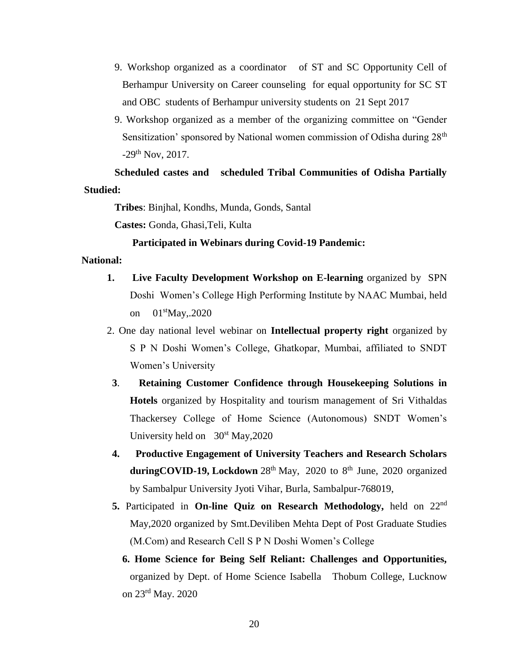- 9. Workshop organized as a coordinator of ST and SC Opportunity Cell of Berhampur University on Career counseling for equal opportunity for SC ST and OBC students of Berhampur university students on 21 Sept 2017
- 9. Workshop organized as a member of the organizing committee on "Gender Sensitization' sponsored by National women commission of Odisha during 28<sup>th</sup> -29th Nov, 2017.

**Scheduled castes and scheduled Tribal Communities of Odisha Partially Studied:**

**Tribes**: Binjhal, Kondhs, Munda, Gonds, Santal

**Castes:** Gonda, Ghasi,Teli, Kulta

# **Participated in Webinars during Covid-19 Pandemic:**

#### **National:**

- **1. Live Faculty Development Workshop on E-learning** organized by SPN Doshi Women's College High Performing Institute by NAAC Mumbai, held on 01stMay,.2020
- 2. One day national level webinar on **Intellectual property right** organized by S P N Doshi Women's College, Ghatkopar, Mumbai, affiliated to SNDT Women's University
- **3**. **Retaining Customer Confidence through Housekeeping Solutions in Hotels** organized by Hospitality and tourism management of Sri Vithaldas Thackersey College of Home Science (Autonomous) SNDT Women's University held on  $30<sup>st</sup>$  May, 2020
- **4. Productive Engagement of University Teachers and Research Scholars** duringCOVID-19, Lockdown 28<sup>th</sup> May, 2020 to 8<sup>th</sup> June, 2020 organized by Sambalpur University Jyoti Vihar, Burla, Sambalpur-768019,
- **5.** Participated in **On-line Quiz on Research Methodology,** held on 22nd May,2020 organized by Smt.Deviliben Mehta Dept of Post Graduate Studies (M.Com) and Research Cell S P N Doshi Women's College
	- **6. Home Science for Being Self Reliant: Challenges and Opportunities,**  organized by Dept. of Home Science Isabella Thobum College, Lucknow on 23rd May. 2020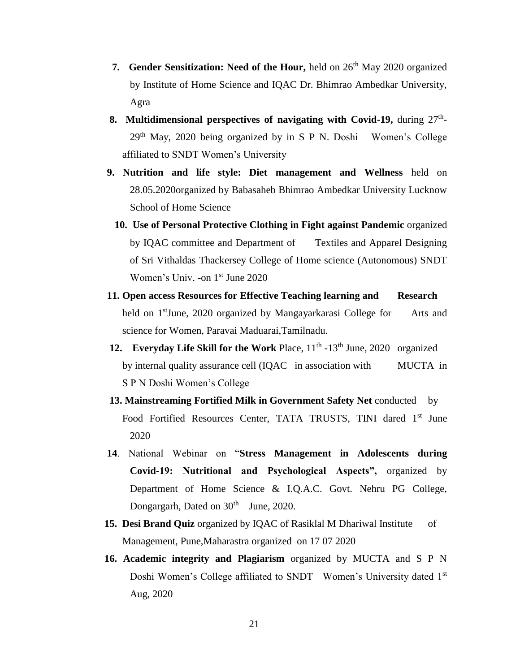- **7. Gender Sensitization: Need of the Hour,** held on 26<sup>th</sup> May 2020 organized by Institute of Home Science and IQAC Dr. Bhimrao Ambedkar University, Agra
- **8. Multidimensional perspectives of navigating with Covid-19, during**  $27<sup>th</sup>$ **-** $29<sup>th</sup>$  May, 2020 being organized by in S P N. Doshi Women's College affiliated to SNDT Women's University
	- **9. Nutrition and life style: Diet management and Wellness** held on 28.05.2020organized by Babasaheb Bhimrao Ambedkar University Lucknow School of Home Science
		- **10. Use of Personal Protective Clothing in Fight against Pandemic** organized by IQAC committee and Department of Textiles and Apparel Designing of Sri Vithaldas Thackersey College of Home science (Autonomous) SNDT Women's Univ. -on 1<sup>st</sup> June 2020
	- **11. Open access Resources for Effective Teaching learning and Research** held on 1<sup>st</sup>June, 2020 organized by Mangayarkarasi College for Arts and science for Women, Paravai Maduarai,Tamilnadu.
- 12. Everyday Life Skill for the Work Place, 11<sup>th</sup> -13<sup>th</sup> June, 2020 organized by internal quality assurance cell (IQAC in association with MUCTA in S P N Doshi Women's College
	- **13. Mainstreaming Fortified Milk in Government Safety Net** conducted by Food Fortified Resources Center, TATA TRUSTS, TINI dared 1<sup>st</sup> June 2020
	- **14**. National Webinar on "**Stress Management in Adolescents during Covid-19: Nutritional and Psychological Aspects",** organized by Department of Home Science & I.Q.A.C. Govt. Nehru PG College, Dongargarh, Dated on 30<sup>th</sup> June, 2020.
	- **15. Desi Brand Quiz** organized by IQAC of Rasiklal M Dhariwal Institute of Management, Pune,Maharastra organized on 17 07 2020
	- **16. Academic integrity and Plagiarism** organized by MUCTA and S P N Doshi Women's College affiliated to SNDT Women's University dated 1<sup>st</sup> Aug, 2020